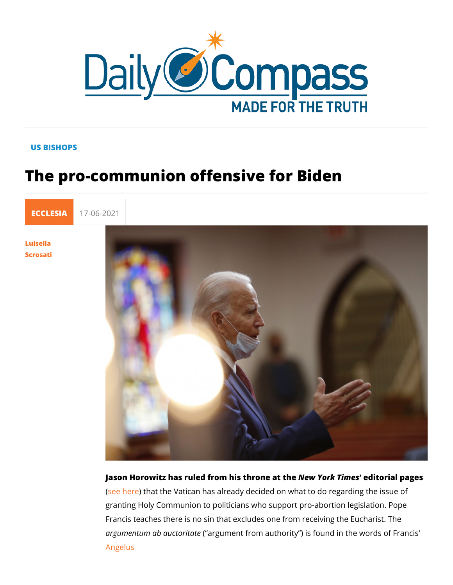## US BISHOPS

## The pro-communion offensive for Biden

[ECCLE](https://newdailycompass.com/en/ecclesia)S 17-06-2021

[Luisel](/en/luisella-scrosati)la [Scros](/en/luisella-scrosati)ati

> Jason Horowitz has ruled from his theron Yoak fihiene edstorial pages [\(see h](http://ilsismografo.blogspot.com/2021/06/stati-uniti-vatican-warns-us-bishops.html)erthat the Vatican has already decided on what to do reg granting Holy Communion to politicians who support pro-aborti Francis teaches there is no sin that excludes one from receivi argumentum ab auctor it and the net from authority ) is found in the w [Angel](https://www.vatican.va/content/francesco/en/angelus/2021/documents/papa-francesco_angelus_20210606.html)us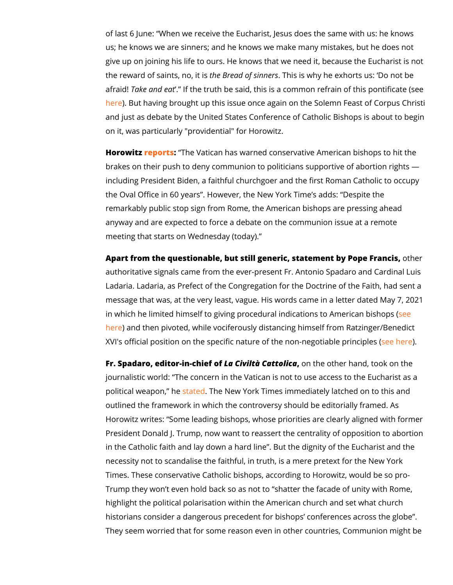of last 6 June: When we receive the Eucharist, Jeskinsod ases the us; he knows we are sinners; and he knows we make many mist give up on joining his life to ours. He knows that we need it, b the reward of saintsheBhroe, aid of sinThheirs is why he exhorts us: Do afraid ake and eat the truth be said, this is a common refrain o [her](http://magister.blogautore.espresso.repubblica.it/2017/02/03/on-the-medicine-for-sinners-the-conflicting-prescriptions-of-ratzinger-and-bergoglio/)e But having brought up this issue once again on the Solen and just as debate by the United States Conference of Catholi on it, was particularly "providential" for Horowitz.

Horowitz ports The Vatican has warned conservative American b brakes on their push to deny communion to politicians support including President Biden, a faithful churchgoer and the first I the Oval Office in 60 years. However, the New York Time s ad remarkably public stop sign from Rome, the American bishops anyway and are expected to force a debate on the communion meeting that starts on Wednesday (today).

Apart from the questionable, but still generic, statementhiby Po authoritative signals came from the ever-present Fr. Antonio S Ladaria. Ladaria, as Prefect of the Congregation for the Doctr message that was, at the very least, vague. His words came in in which he limited himself to giving procedural indicadions to [her](https://lanuovabq.it/it/comunione-ai-politici-pro-aborto-a-roma-ce-pilato)e and then pivoted, while vociferously distancing himself fr XVI's official position on the specific nature of the  $e^{\frac{1}{12}}$ 

Fr. Spadaro, editor-in $L$  a h $\mathbb G$  is we fattolican the other hand, took on journalistic world: The concern in the Vatican is not to use ad political weaponateh The New York Times immediately latched o outlined the framework in which the controversy should be edit Horowitz writes: Some leading bishops, whose priorities are c President Donald J. Trump, now want to reassert the centrality in the Catholic faith and lay down a hard line . But the dignity necessity not to scandalise the faithful, in truth, is a mere pre Times. These conservative Catholic bishops, according to Horo Trump they won t even hold back so as not to shatter the faca highlight the political polarisation within the American church historians consider a dangerous precedent for bishops confer They seem worried that for some reason even in other countrie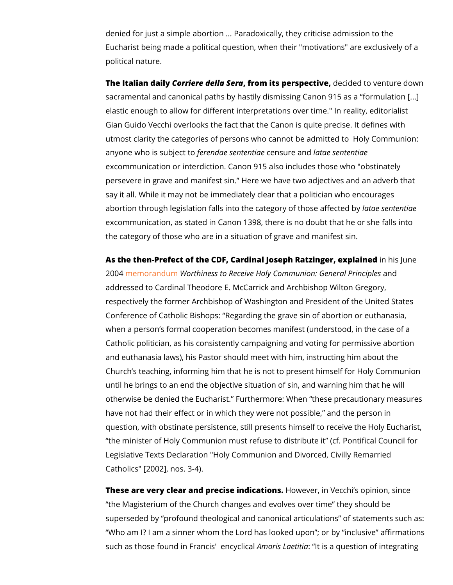denied for just a simple abortion ... Paradoxically, they critici Eucharist being made a political question, when their "motivat political nature.

The Italian daily iere della forma its perspedeiovieded to venture down that it is a metallical to a control of sacramental and canonical paths by hastily dismissing Canon ! elastic enough to allow for different interpretations over time. Gian Guido Vecchi overlooks the fact that the Canon is quite p utmost clarity the categories of persons who cannot be admitted anyone who is sufbejreeontd tace senteemtsiare laant ale sententiae excommunication or interdiction. Canon 915 also includes thos persevere in grave and manifest sin. Here we have two adject say it all. While it may not be immediately clear that a politici abortion through legislation falls into the cate geotraye osferhit**es** beimade excommunication, as stated in Canon 1398, there is no doubt t the category of those who are in a situation of grave and mani

As the then-Prefect of the CDF, Cardinal Joseph Rmathziisn gleum, eex 2004 emorand Whorthiness to Receive Holy Communicamed General addressed to Cardinal Theodore E. McCarrick and Archbishop ' respectively the former Archbishop of Washington and Preside Conference of Catholic Bishops: Regarding the grave sin of a when a person s formal cooperation becomes manifest (unders Catholic politician, as his consistently campaigning and voting and euthanasia laws), his Pastor should meet with him, instrud Church s teaching, informing him that he is not to present him until he brings to an end the objective situation of sin, and wa otherwise be denied the Eucharist. Furthermore: When these have not had their effect or in which they were not possible, question, with obstinate persistence, still presents himself to the minister of Holy Communion must refuse to distribute it ( Legislative Texts Declaration "Holy Communion and Divorced, Catholics" [2002], nos. 3-4).

These are very clear and preciseHionwdee overlight . Vecchi s opinion, the Magisterium of the Church changes and evolves over time superseded by profound theological and canonical articulatior Who am I? I am a sinner whom the Lord has looked upon; or such as those found in FranAcminsolrienLcayeetllincians a question of integ